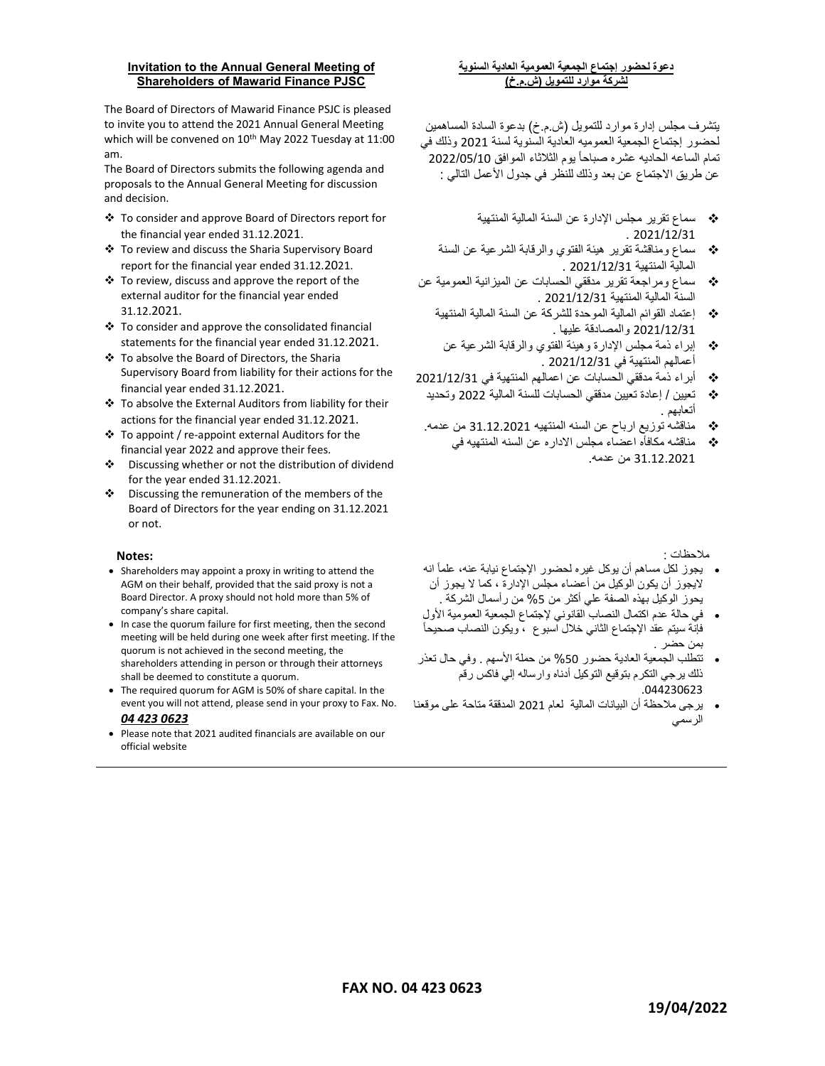## Invitation to the Annual General Meeting of Shareholders of Mawarid Finance PJSC

The Board of Directors of Mawarid Finance PSJC is pleased to invite you to attend the 2021 Annual General Meeting which will be convened on 10<sup>th</sup> May 2022 Tuesday at 11:00 am.

The Board of Directors submits the following agenda and proposals to the Annual General Meeting for discussion and decision.

- To consider and approve Board of Directors report for the financial year ended 31.12.2021.
- To review and discuss the Sharia Supervisory Board report for the financial year ended 31.12.2021.
- $\div$  To review, discuss and approve the report of the external auditor for the financial year ended 31.12.2021.
- $\cdot$  To consider and approve the consolidated financial statements for the financial year ended 31.12.2021.
- To absolve the Board of Directors, the Sharia Supervisory Board from liability for their actions for the financial year ended 31.12.2021.
- To absolve the External Auditors from liability for their actions for the financial year ended 31.12.2021.
- To appoint / re-appoint external Auditors for the financial year 2022 and approve their fees.
- Discussing whether or not the distribution of dividend for the year ended 31.12.2021.
- $\div$  Discussing the remuneration of the members of the Board of Directors for the year ending on 31.12.2021 or not.

## Notes:

- Shareholders may appoint a proxy in writing to attend the AGM on their behalf, provided that the said proxy is not a Board Director. A proxy should not hold more than 5% of company's share capital.
- In case the quorum failure for first meeting, then the second meeting will be held during one week after first meeting. If the quorum is not achieved in the second meeting, the shareholders attending in person or through their attorneys shall be deemed to constitute a quorum.
- The required quorum for AGM is 50% of share capital. In the event you will not attend, please send in your proxy to Fax. No. 04 423 0623
- Please note that 2021 audited financials are available on our official website

## دعوة لحضور إجتماع الجمعية العمومية العادية السنوية لشركة موارد للتمويل (ش.م.خ)

يتشرف مجلس إدارة موارد للتمويل (ش.م.خ) بدعوة السادة المساهمين لحضور إجتماع الجمعية العموميه العادية السنوية لسنة 2021 وذلك في تمام الساعه الحاديه عشره صباحاً يوم الثلاثاء الموافق 2022/05/10 عن طريق الاجتماع عن بعد وذلك للنظر في جدول الأعمل التالي :

- سماع تقرير مجلس الإدارة عن السنة المالية المنتهية  $.2021/12/31$
- سماع ومناقشة تقرير هيئة الفتوي والرقابة الشرعية عن السنة المالية المنتهية /12/31 2021 .
- سماع ومراجعة تقرير مدققي الحسابات عن الميزانية العمومية عن السنة المالية المنتهية 2021/12/31 .
	- إعتماد القوائم المالية الموحدة للشركة عن السنة المالية المنتهية /12/31 2021 والمصادقة عليها .
	- إبراء ذمة مجلس الإدارة وهيئة الفتوي والرقابة الشرعية عن أعمالهم المنتهية في 2021/12/31 .
- أبراء ذمة مدققي الحسابات عن اعمالهم المنتهية في 2021/12/31
- تعيين / إعادة تعيين مدققي الحسابات للسنة المالية 2022 وتحديد أتعابهم .
- مناقشه توزيع ارباح عن السنه المنتهيه 31.12.2021 من عدمه.
- مناقشه مكافأه اعضاء مجلس الاداره عن السنه المنتهيه في 31.12.2021 من عدمه.

ملاحظات :

- انه يجوز لكل مساهم أن يوكل غيره لحضور الإجتماع نيابة عنه، علماً لايجوز أن يكون ال وكيل من أعضاء مجلس الإدارة ، كما لا يجوز أن يحوز الوكيل بهذه الصفة علي أكثر من %5 من رأسمال الشركة .
- في حالة عدم اكتمال النصاب القانوني لإجتماع الجمعية العمومية الأول فإنة سيتم عقد الإجتماع الثاني خلال اسبوع ، ويكون النصاب صحيحاً بمن حضر .
- تتطلب الجمعية العادية حضور %50 من حملة الأسهم . وفي حال تعذر ذلك يرجي التكرم بتوقيع التوكيل أدناه وارساله إلى فاكس رقم .044230623
- يرجى ملاحظة أن البيانات المالية لعام 2021 المدققة متاحة على موقعنا الرسمي